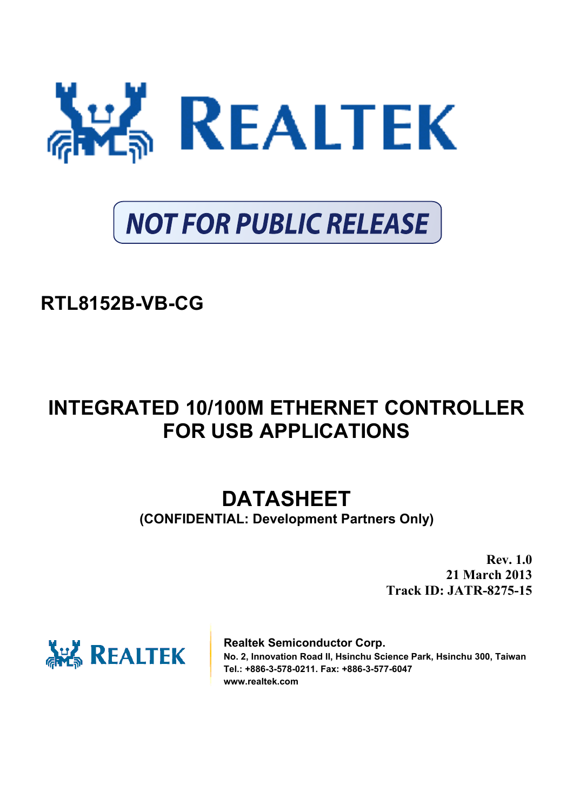

# **NOT FOR PUBLIC RELEASE**

## **RTL8152B-VB-CG**

## **INTEGRATED 10/100M ETHERNET CONTROLLER FOR USB APPLICATIONS**

## **DATASHEET**

**(CONFIDENTIAL: Development Partners Only)** 

**Rev. 1.0 21 March 2013 Track ID: JATR-8275-15** 



**Realtek Semiconductor Corp. No. 2, Innovation Road II, Hsinchu Science Park, Hsinchu 300, Taiwan Tel.: +886-3-578-0211. Fax: +886-3-577-6047 www.realtek.com**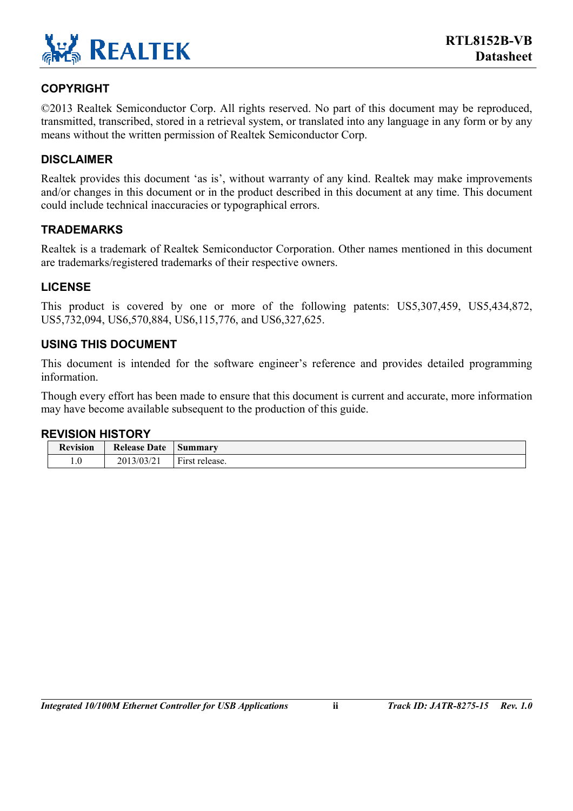

#### **COPYRIGHT**

©2013 Realtek Semiconductor Corp. All rights reserved. No part of this document may be reproduced, transmitted, transcribed, stored in a retrieval system, or translated into any language in any form or by any means without the written permission of Realtek Semiconductor Corp.

#### **DISCLAIMER**

Realtek provides this document 'as is', without warranty of any kind. Realtek may make improvements and/or changes in this document or in the product described in this document at any time. This document could include technical inaccuracies or typographical errors.

#### **TRADEMARKS**

Realtek is a trademark of Realtek Semiconductor Corporation. Other names mentioned in this document are trademarks/registered trademarks of their respective owners.

#### **LICENSE**

This product is covered by one or more of the following patents: US5,307,459, US5,434,872, US5,732,094, US6,570,884, US6,115,776, and US6,327,625.

#### **USING THIS DOCUMENT**

This document is intended for the software engineer's reference and provides detailed programming information.

Though every effort has been made to ensure that this document is current and accurate, more information may have become available subsequent to the production of this guide.

#### **REVISION HISTORY**

| <b>Revision</b> | <b>Release Date</b> | Summary                            |
|-----------------|---------------------|------------------------------------|
| $1.0\,$         | 2013/03/21          | $\mathbf{r}$<br>release.<br>F irst |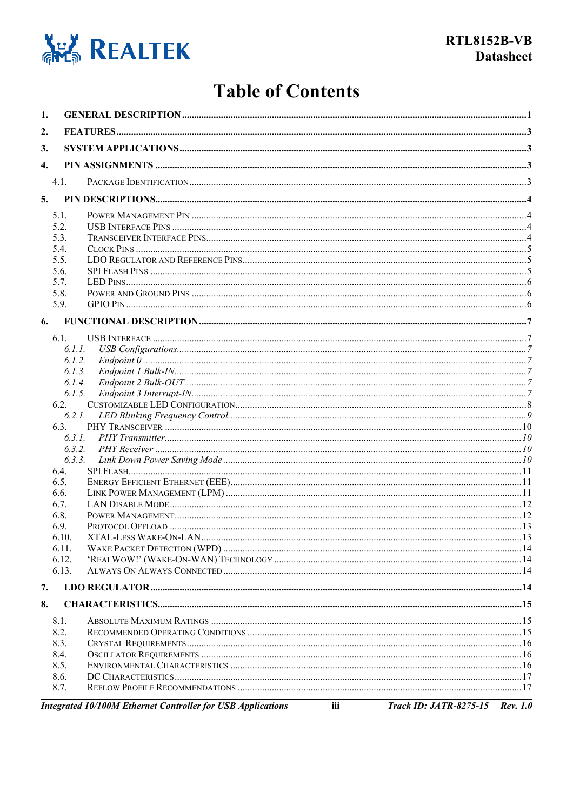

## **Table of Contents**

| 1.               |              |                                                                                                            |          |
|------------------|--------------|------------------------------------------------------------------------------------------------------------|----------|
| 2.               |              |                                                                                                            |          |
| 3.               |              |                                                                                                            |          |
|                  |              |                                                                                                            |          |
| $\overline{4}$ . |              |                                                                                                            |          |
|                  | 4.1.         |                                                                                                            |          |
| 5.               |              |                                                                                                            |          |
|                  | 5.1.         |                                                                                                            |          |
|                  | 5.2.         |                                                                                                            |          |
|                  | 5.3.         |                                                                                                            |          |
|                  | 5.4.         |                                                                                                            |          |
|                  | 5.5.         |                                                                                                            |          |
|                  | 5.6.         |                                                                                                            |          |
|                  | 5.7.         |                                                                                                            |          |
|                  | 5.8.         |                                                                                                            |          |
|                  | 5.9.         |                                                                                                            |          |
|                  | 6.           |                                                                                                            |          |
|                  | 6.1.         |                                                                                                            |          |
|                  | 6.1.1.       |                                                                                                            |          |
|                  | 6.1.2.       |                                                                                                            |          |
|                  | 6.1.3.       |                                                                                                            |          |
|                  | 6.1.4.       |                                                                                                            |          |
|                  | 6.1.5.       |                                                                                                            |          |
|                  | 6.2.         |                                                                                                            |          |
|                  |              |                                                                                                            |          |
|                  | 6.3.         |                                                                                                            |          |
|                  |              |                                                                                                            |          |
|                  |              |                                                                                                            |          |
|                  | 6.3.3.       |                                                                                                            |          |
|                  | 6.4.         |                                                                                                            |          |
|                  | 6.5.<br>6.6. |                                                                                                            |          |
|                  | 6.7.         |                                                                                                            |          |
|                  | 6.8.         |                                                                                                            |          |
|                  | 6.9.         |                                                                                                            |          |
|                  | 6.10.        |                                                                                                            |          |
|                  | 6.11.        |                                                                                                            |          |
|                  | 6.12.        |                                                                                                            |          |
|                  | 6.13.        |                                                                                                            |          |
| 7.               |              |                                                                                                            |          |
|                  |              |                                                                                                            |          |
| 8.               |              |                                                                                                            |          |
|                  | 8.1.         |                                                                                                            |          |
|                  | 8.2.         |                                                                                                            |          |
|                  | 8.3.         |                                                                                                            |          |
|                  | 8.4.         |                                                                                                            |          |
|                  | 8.5.         |                                                                                                            |          |
|                  | 8.6.<br>8.7. |                                                                                                            |          |
|                  |              |                                                                                                            |          |
|                  |              | <b>Track ID: JATR-8275-15</b><br><b>Integrated 10/100M Ethernet Controller for USB Applications</b><br>iii | Rev. 1.0 |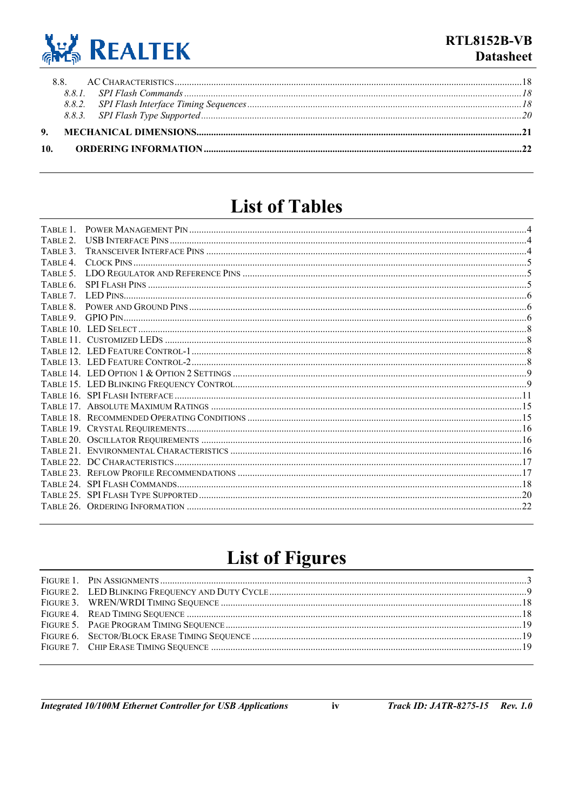

### **List of Tables**

| TABLE 1 |  |
|---------|--|
| TABLE 2 |  |
| TABLE 3 |  |
|         |  |
|         |  |
| TABLE 6 |  |
|         |  |
| TABLE 8 |  |
|         |  |
|         |  |
|         |  |
|         |  |
|         |  |
|         |  |
|         |  |
|         |  |
|         |  |
|         |  |
|         |  |
|         |  |
|         |  |
|         |  |
|         |  |
|         |  |
|         |  |
|         |  |
|         |  |

## **List of Figures**

 $\mathbf{iv}$ 

**Integrated 10/100M Ethernet Controller for USB Applications**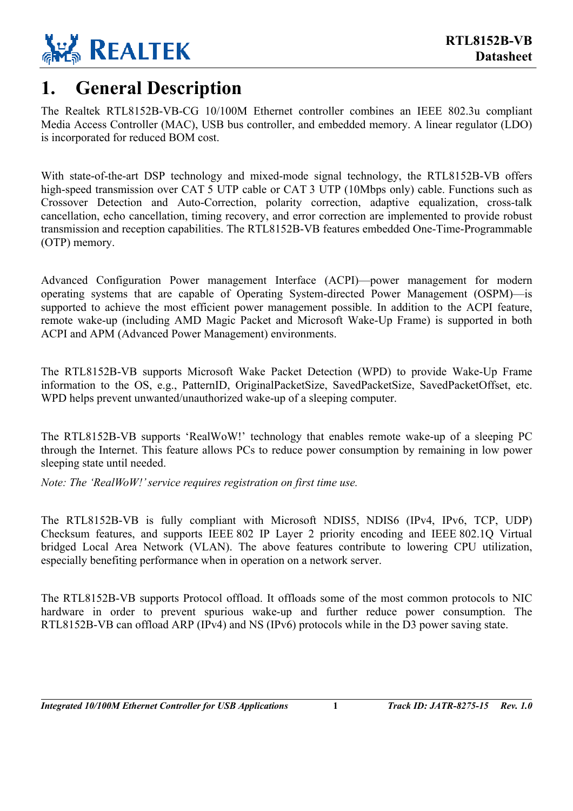

### <span id="page-4-0"></span>**1. General Description**

The Realtek RTL8152B-VB-CG 10/100M Ethernet controller combines an IEEE 802.3u compliant Media Access Controller (MAC), USB bus controller, and embedded memory. A linear regulator (LDO) is incorporated for reduced BOM cost.

With state-of-the-art DSP technology and mixed-mode signal technology, the RTL8152B-VB offers high-speed transmission over CAT 5 UTP cable or CAT 3 UTP (10Mbps only) cable. Functions such as Crossover Detection and Auto-Correction, polarity correction, adaptive equalization, cross-talk cancellation, echo cancellation, timing recovery, and error correction are implemented to provide robust transmission and reception capabilities. The RTL8152B-VB features embedded One-Time-Programmable (OTP) memory.

Advanced Configuration Power management Interface (ACPI)—power management for modern operating systems that are capable of Operating System-directed Power Management (OSPM)—is supported to achieve the most efficient power management possible. In addition to the ACPI feature, remote wake-up (including AMD Magic Packet and Microsoft Wake-Up Frame) is supported in both ACPI and APM (Advanced Power Management) environments.

The RTL8152B-VB supports Microsoft Wake Packet Detection (WPD) to provide Wake-Up Frame information to the OS, e.g., PatternID, OriginalPacketSize, SavedPacketSize, SavedPacketOffset, etc. WPD helps prevent unwanted/unauthorized wake-up of a sleeping computer.

The RTL8152B-VB supports 'RealWoW!' technology that enables remote wake-up of a sleeping PC through the Internet. This feature allows PCs to reduce power consumption by remaining in low power sleeping state until needed.

*Note: The 'RealWoW!' service requires registration on first time use.* 

The RTL8152B-VB is fully compliant with Microsoft NDIS5, NDIS6 (IPv4, IPv6, TCP, UDP) Checksum features, and supports IEEE 802 IP Layer 2 priority encoding and IEEE 802.1Q Virtual bridged Local Area Network (VLAN). The above features contribute to lowering CPU utilization, especially benefiting performance when in operation on a network server.

The RTL8152B-VB supports Protocol offload. It offloads some of the most common protocols to NIC hardware in order to prevent spurious wake-up and further reduce power consumption. The RTL8152B-VB can offload ARP (IPv4) and NS (IPv6) protocols while in the D3 power saving state.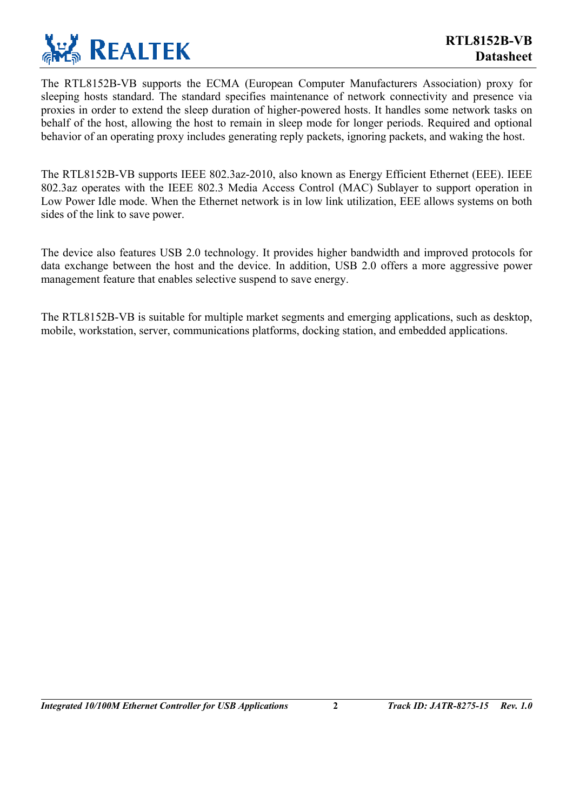

The RTL8152B-VB supports the ECMA (European Computer Manufacturers Association) proxy for sleeping hosts standard. The standard specifies maintenance of network connectivity and presence via proxies in order to extend the sleep duration of higher-powered hosts. It handles some network tasks on behalf of the host, allowing the host to remain in sleep mode for longer periods. Required and optional behavior of an operating proxy includes generating reply packets, ignoring packets, and waking the host.

The RTL8152B-VB supports IEEE 802.3az-2010, also known as Energy Efficient Ethernet (EEE). IEEE 802.3az operates with the IEEE 802.3 Media Access Control (MAC) Sublayer to support operation in Low Power Idle mode. When the Ethernet network is in low link utilization, EEE allows systems on both sides of the link to save power.

The device also features USB 2.0 technology. It provides higher bandwidth and improved protocols for data exchange between the host and the device. In addition, USB 2.0 offers a more aggressive power management feature that enables selective suspend to save energy.

The RTL8152B-VB is suitable for multiple market segments and emerging applications, such as desktop, mobile, workstation, server, communications platforms, docking station, and embedded applications.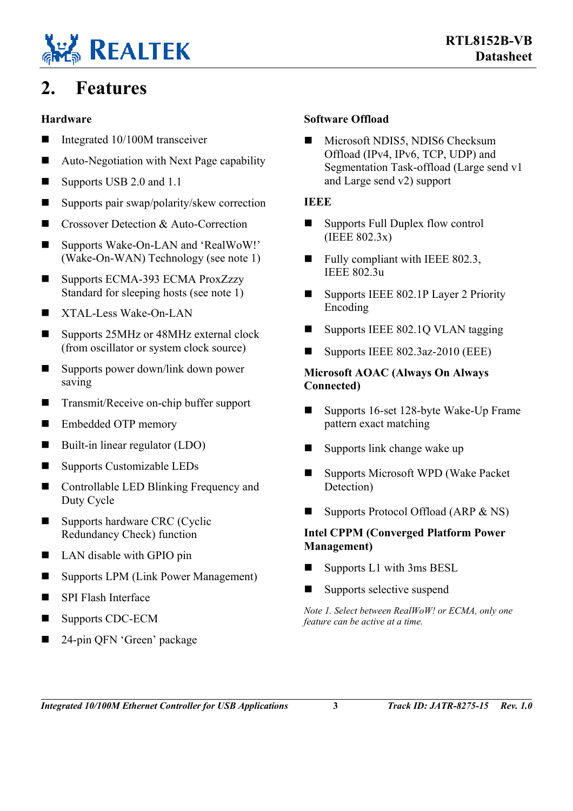

## <span id="page-6-0"></span>**2. Features**

#### **Hardware**

- Integrated  $10/100M$  transceiver
- Auto-Negotiation with Next Page capability
- Supports USB 2.0 and 1.1
- Supports pair swap/polarity/skew correction
- Crossover Detection & Auto-Correction
- Supports Wake-On-LAN and 'RealWoW!' (Wake-On-WAN) Technology (see note 1)
- Supports ECMA-393 ECMA ProxZzzy Standard for sleeping hosts (see note 1)
- $\blacksquare$  XTAL-Less Wake-On-LAN
- Supports 25MHz or 48MHz external clock (from oscillator or system clock source)
- Supports power down/link down power saving
- Transmit/Receive on-chip buffer support
- Embedded OTP memory
- Built-in linear regulator (LDO)
- Supports Customizable LEDs
- Controllable LED Blinking Frequency and Duty Cycle
- Supports hardware CRC (Cyclic Redundancy Check) function
- LAN disable with GPIO pin
- Supports LPM (Link Power Management)
- SPI Flash Interface
- Supports CDC-ECM
- 24-pin QFN 'Green' package

#### **Software Offload**

Microsoft NDIS5, NDIS6 Checksum Offload (IPv4, IPv6, TCP, UDP) and Segmentation Task-offload (Large send v1 and Large send v2) support

#### **IEEE**

- Supports Full Duplex flow control (IEEE 802.3x)
- $\blacksquare$  Fully compliant with IEEE 802.3, IEEE 802.3u
- Supports IEEE 802.1P Layer 2 Priority Encoding
- $\blacksquare$  Supports IEEE 802.1Q VLAN tagging
- Supports IEEE  $802.3$ az-2010 (EEE)

#### **Microsoft AOAC (Always On Always Connected)**

- Supports 16-set 128-byte Wake-Up Frame pattern exact matching
- $\blacksquare$  Supports link change wake up
- Supports Microsoft WPD (Wake Packet Detection)
- Supports Protocol Offload (ARP  $& NS$ )

#### **Intel CPPM (Converged Platform Power Management)**

- $\blacksquare$  Supports L1 with 3ms BESL
- Supports selective suspend

*Note 1. Select between RealWoW! or ECMA, only one feature can be active at a time.*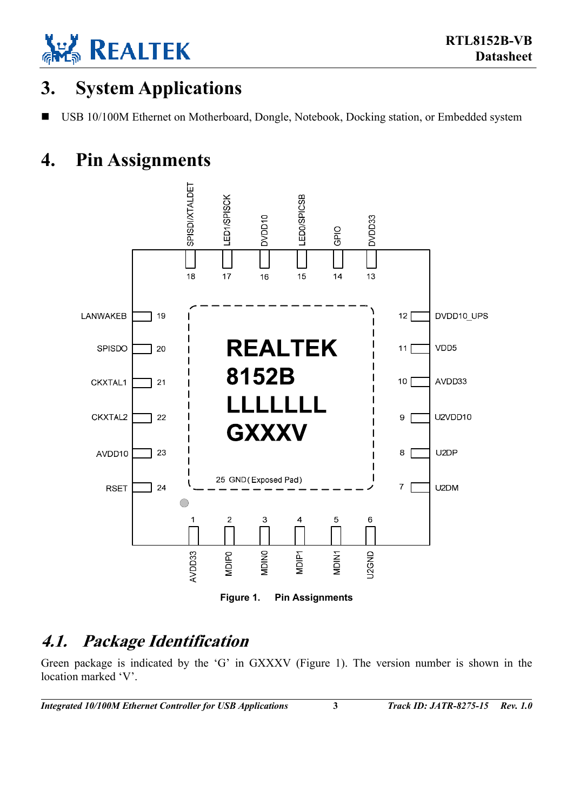

## <span id="page-7-0"></span>**3. System Applications**

USB 10/100M Ethernet on Motherboard, Dongle, Notebook, Docking station, or Embedded system

## **4. Pin Assignments**

<span id="page-7-3"></span><span id="page-7-1"></span>

### <span id="page-7-2"></span>**4.1. Package Identification**

Green package is indicated by the 'G' in GXXXV [\(Figure 1\)](#page-7-3). The version number is shown in the location marked 'V'.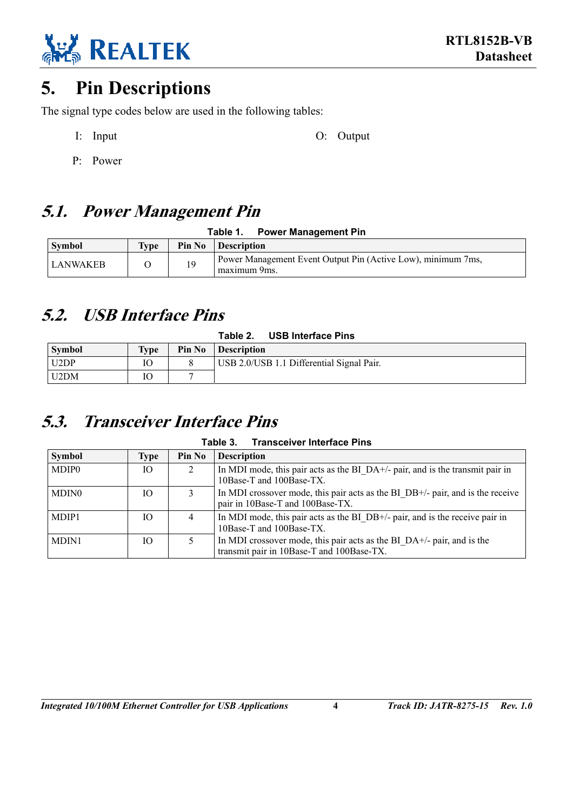

## <span id="page-8-0"></span>**5. Pin Descriptions**

The signal type codes below are used in the following tables:

I: Input O: Output O: Output

P: Power

## <span id="page-8-1"></span>**5.1. Power Management Pin**

<span id="page-8-4"></span>**Table 1. Power Management Pin** 

| <b>Symbol</b> | Type | Pin No | <b>Description</b>                                                           |
|---------------|------|--------|------------------------------------------------------------------------------|
| LANWAKEB      |      | 19     | Power Management Event Output Pin (Active Low), minimum 7ms,<br>maximum 9ms. |

### <span id="page-8-2"></span>**5.2. USB Interface Pins**

<span id="page-8-5"></span>

| Table 2. | <b>USB Interface Pins</b> |  |
|----------|---------------------------|--|
|          |                           |  |

| <b>Symbol</b> | <b>Type</b> | Pin No | <b>Description</b>                        |
|---------------|-------------|--------|-------------------------------------------|
| U2DP          |             |        | USB 2.0/USB 1.1 Differential Signal Pair. |
| U2DM          |             |        |                                           |

### <span id="page-8-3"></span>**5.3. Transceiver Interface Pins**

<span id="page-8-6"></span>**Table 3. Transceiver Interface Pins** 

| <b>Symbol</b> | Type | Pin No | <b>Description</b>                                                                                                    |
|---------------|------|--------|-----------------------------------------------------------------------------------------------------------------------|
| <b>MDIP0</b>  | Ю    | 2      | In MDI mode, this pair acts as the BI_DA+/- pair, and is the transmit pair in<br>10Base-T and 100Base-TX.             |
| MDIN0         | IO   |        | In MDI crossover mode, this pair acts as the BI DB+/- pair, and is the receive<br>pair in 10Base-T and 100Base-TX.    |
| MDIP1         | IО   | 4      | In MDI mode, this pair acts as the BI DB+/- pair, and is the receive pair in<br>10Base-T and 100Base-TX.              |
| MDIN1         | Ю    |        | In MDI crossover mode, this pair acts as the BI $DA+/-$ pair, and is the<br>transmit pair in 10Base-T and 100Base-TX. |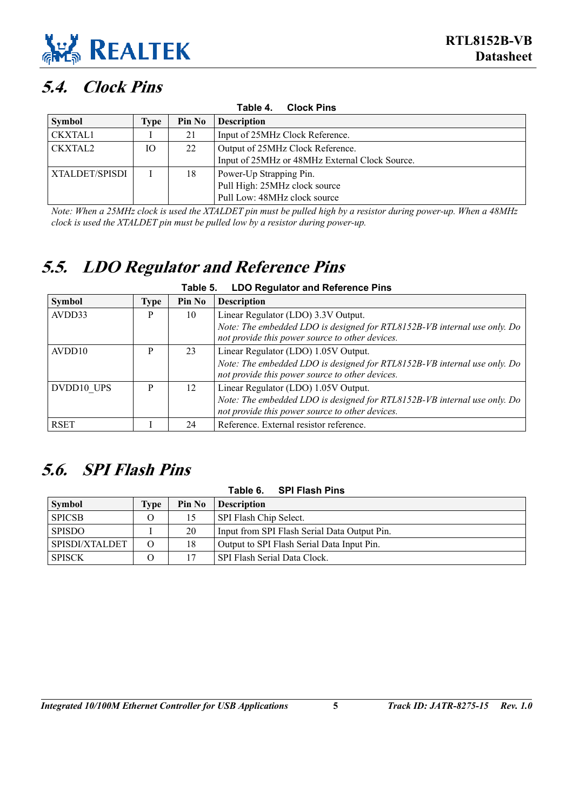

### **5.4. Clock Pins**

<span id="page-9-3"></span><span id="page-9-0"></span>

| <b>Clock Pins</b><br>Table 4. |      |        |                                                |  |
|-------------------------------|------|--------|------------------------------------------------|--|
| <b>Symbol</b>                 | Type | Pin No | <b>Description</b>                             |  |
| <b>CKXTAL1</b>                |      | 21     | Input of 25MHz Clock Reference.                |  |
| <b>CKXTAL2</b>                | IО   | 22     | Output of 25MHz Clock Reference.               |  |
|                               |      |        | Input of 25MHz or 48MHz External Clock Source. |  |
| XTALDET/SPISDI                |      | 18     | Power-Up Strapping Pin.                        |  |
|                               |      |        | Pull High: 25MHz clock source                  |  |
|                               |      |        | Pull Low: 48MHz clock source                   |  |

*Note: When a 25MHz clock is used the XTALDET pin must be pulled high by a resistor during power-up. When a 48MHz clock is used the XTALDET pin must be pulled low by a resistor during power-up.* 

### <span id="page-9-1"></span>**5.5. LDO Regulator and Reference Pins**

<span id="page-9-4"></span>

| <b>LDO Regulator and Reference Pins</b><br>Table 5. |             |        |                                                                                                                                                                     |
|-----------------------------------------------------|-------------|--------|---------------------------------------------------------------------------------------------------------------------------------------------------------------------|
| <b>Symbol</b>                                       | <b>Type</b> | Pin No | <b>Description</b>                                                                                                                                                  |
| AVDD33                                              | P           | 10     | Linear Regulator (LDO) 3.3V Output.<br>Note: The embedded LDO is designed for RTL8152B-VB internal use only. Do<br>not provide this power source to other devices.  |
| AVDD10                                              | P           | 23     | Linear Regulator (LDO) 1.05V Output.<br>Note: The embedded LDO is designed for RTL8152B-VB internal use only. Do<br>not provide this power source to other devices. |
| DVDD10 UPS                                          | P           | 12     | Linear Regulator (LDO) 1.05V Output.<br>Note: The embedded LDO is designed for RTL8152B-VB internal use only. Do<br>not provide this power source to other devices. |
| <b>RSET</b>                                         |             | 24     | Reference. External resistor reference.                                                                                                                             |

### **5.6. SPI Flash Pins**

<span id="page-9-5"></span><span id="page-9-2"></span>

| Table 6. SPI Flash Pins |      |        |                                              |  |
|-------------------------|------|--------|----------------------------------------------|--|
| <b>Symbol</b>           | Tvpe | Pin No | <b>Description</b>                           |  |
| <b>SPICSB</b>           | О    | 15     | SPI Flash Chip Select.                       |  |
| <b>SPISDO</b>           |      | 20     | Input from SPI Flash Serial Data Output Pin. |  |
| SPISDI/XTALDET          | O    | 18     | Output to SPI Flash Serial Data Input Pin.   |  |
| <b>SPISCK</b>           | O    |        | SPI Flash Serial Data Clock.                 |  |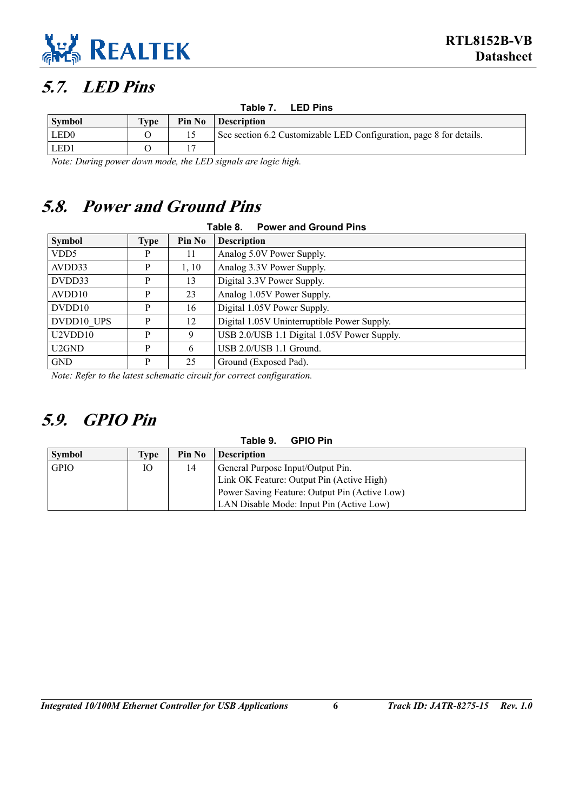

### <span id="page-10-0"></span>**5.7. LED Pins**

<span id="page-10-4"></span><span id="page-10-3"></span>**Table 7. LED Pins** 

| <b>Symbol</b>    | <b>Type</b> | Pin No | <b>Description</b>                                                  |
|------------------|-------------|--------|---------------------------------------------------------------------|
| LED <sub>0</sub> |             |        | See section 6.2 Customizable LED Configuration, page 8 for details. |
| LED1             |             |        |                                                                     |

*Note: During power down mode, the LED signals are logic high.* 

### **5.8. Power and Ground Pins**

<span id="page-10-1"></span>

| Table 8.<br><b>Power and Ground Pins</b>            |             |        |                                             |  |  |
|-----------------------------------------------------|-------------|--------|---------------------------------------------|--|--|
| <b>Symbol</b>                                       | <b>Type</b> | Pin No | <b>Description</b>                          |  |  |
| VDD <sub>5</sub>                                    | P           | 11     | Analog 5.0V Power Supply.                   |  |  |
| AVDD33                                              | P           | 1, 10  | Analog 3.3V Power Supply.                   |  |  |
| DVDD33                                              | P           | 13     | Digital 3.3V Power Supply.                  |  |  |
| AVDD10                                              | P           | 23     | Analog 1.05V Power Supply.                  |  |  |
| DVDD10                                              | P           | 16     | Digital 1.05V Power Supply.                 |  |  |
| DVDD10 UPS                                          | P           | 12     | Digital 1.05V Uninterruptible Power Supply. |  |  |
| U2VDD10                                             | P           | 9      | USB 2.0/USB 1.1 Digital 1.05V Power Supply. |  |  |
| U2GND                                               | P           | 6      | USB 2.0/USB 1.1 Ground.                     |  |  |
| <b>GND</b>                                          | P           | 25     | Ground (Exposed Pad).                       |  |  |
| $\mathbf{r}$ $\mathbf{r}$ $\mathbf{r}$ $\mathbf{r}$ |             |        |                                             |  |  |

*Note: Refer to the latest schematic circuit for correct configuration.* 

## <span id="page-10-2"></span>**5.9. GPIO Pin**

#### <span id="page-10-5"></span>**Table 9. GPIO Pin**

| <b>Symbol</b> | Type | Pin No | <b>Description</b>                            |
|---------------|------|--------|-----------------------------------------------|
| <b>GPIO</b>   | Ю    | 14     | General Purpose Input/Output Pin.             |
|               |      |        | Link OK Feature: Output Pin (Active High)     |
|               |      |        | Power Saving Feature: Output Pin (Active Low) |
|               |      |        | LAN Disable Mode: Input Pin (Active Low)      |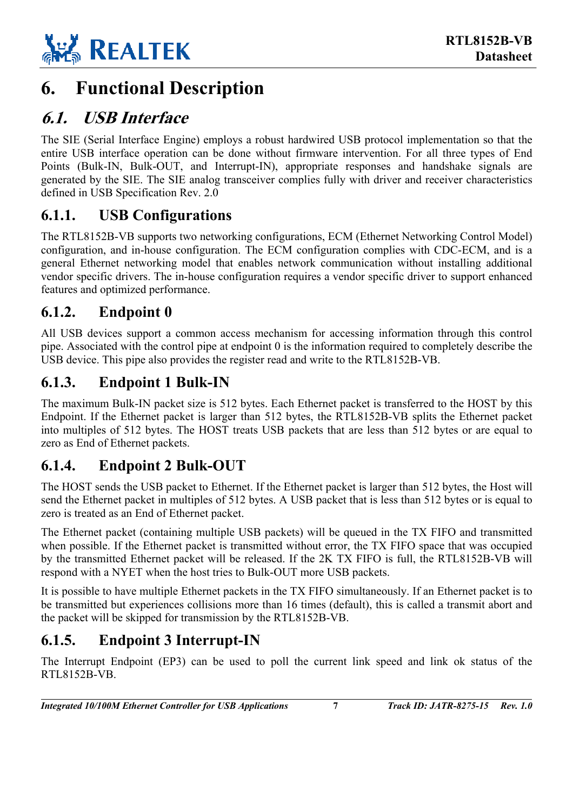

## <span id="page-11-0"></span>**6. Functional Description**

### <span id="page-11-1"></span>**6.1. USB Interface**

The SIE (Serial Interface Engine) employs a robust hardwired USB protocol implementation so that the entire USB interface operation can be done without firmware intervention. For all three types of End Points (Bulk-IN, Bulk-OUT, and Interrupt-IN), appropriate responses and handshake signals are generated by the SIE. The SIE analog transceiver complies fully with driver and receiver characteristics defined in USB Specification Rev. 2.0

#### <span id="page-11-2"></span>**6.1.1. USB Configurations**

The RTL8152B-VB supports two networking configurations, ECM (Ethernet Networking Control Model) configuration, and in-house configuration. The ECM configuration complies with CDC-ECM, and is a general Ethernet networking model that enables network communication without installing additional vendor specific drivers. The in-house configuration requires a vendor specific driver to support enhanced features and optimized performance.

#### <span id="page-11-3"></span>**6.1.2. Endpoint 0**

All USB devices support a common access mechanism for accessing information through this control pipe. Associated with the control pipe at endpoint 0 is the information required to completely describe the USB device. This pipe also provides the register read and write to the RTL8152B-VB.

#### <span id="page-11-4"></span>**6.1.3. Endpoint 1 Bulk-IN**

The maximum Bulk-IN packet size is 512 bytes. Each Ethernet packet is transferred to the HOST by this Endpoint. If the Ethernet packet is larger than 512 bytes, the RTL8152B-VB splits the Ethernet packet into multiples of 512 bytes. The HOST treats USB packets that are less than 512 bytes or are equal to zero as End of Ethernet packets.

#### <span id="page-11-5"></span>**6.1.4. Endpoint 2 Bulk-OUT**

The HOST sends the USB packet to Ethernet. If the Ethernet packet is larger than 512 bytes, the Host will send the Ethernet packet in multiples of 512 bytes. A USB packet that is less than 512 bytes or is equal to zero is treated as an End of Ethernet packet.

The Ethernet packet (containing multiple USB packets) will be queued in the TX FIFO and transmitted when possible. If the Ethernet packet is transmitted without error, the TX FIFO space that was occupied by the transmitted Ethernet packet will be released. If the 2K TX FIFO is full, the RTL8152B-VB will respond with a NYET when the host tries to Bulk-OUT more USB packets.

It is possible to have multiple Ethernet packets in the TX FIFO simultaneously. If an Ethernet packet is to be transmitted but experiences collisions more than 16 times (default), this is called a transmit abort and the packet will be skipped for transmission by the RTL8152B-VB.

### <span id="page-11-6"></span>**6.1.5. Endpoint 3 Interrupt-IN**

The Interrupt Endpoint (EP3) can be used to poll the current link speed and link ok status of the RTL8152B-VB.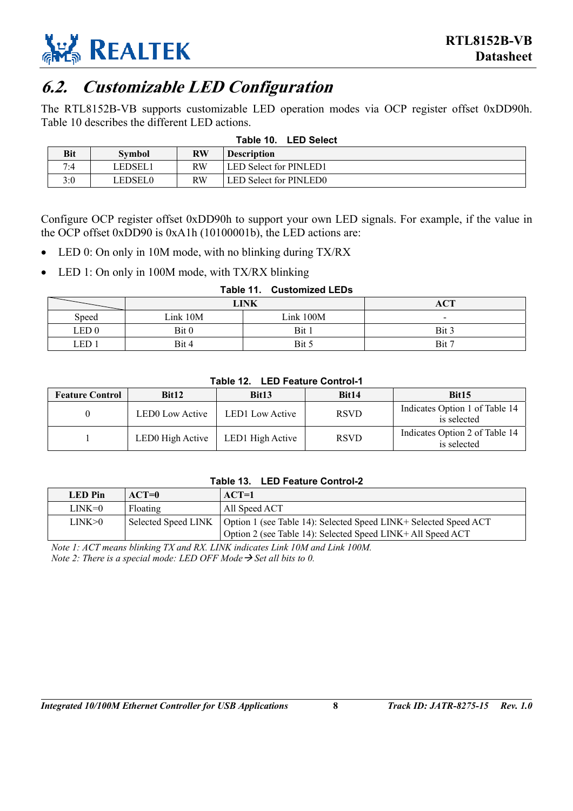

### <span id="page-12-0"></span>**6.2. Customizable LED Configuration**

The RTL8152B-VB supports customizable LED operation modes via OCP register offset 0xDD90h. [Table 10](#page-12-1) describes the different LED actions.

<span id="page-12-1"></span>**Table 10. LED Select** 

|            | Taple 10.<br>LED SEIECI |           |                               |  |  |
|------------|-------------------------|-----------|-------------------------------|--|--|
| <b>Bit</b> | Symbol                  | <b>RW</b> | <b>Description</b>            |  |  |
| 7:4        | LEDSEL1                 | RW        | <b>LED Select for PINLED1</b> |  |  |
| 3:0        | LEDSEL0                 | RW        | <b>LED Select for PINLED0</b> |  |  |

Configure OCP register offset 0xDD90h to support your own LED signals. For example, if the value in the OCP offset 0xDD90 is 0xA1h (10100001b), the LED actions are:

- LED 0: On only in 10M mode, with no blinking during TX/RX
- LED 1: On only in 100M mode, with TX/RX blinking

<span id="page-12-2"></span>

| Table 11. Customized LEDs |
|---------------------------|
|                           |

|                  | LINK     |           | <b>ACT</b> |
|------------------|----------|-----------|------------|
| Speed            | Link 10M | Link 100M | -          |
| LED <sub>0</sub> | Bit 0    | Bit 1     | Bit 3      |
| LED :            | Bit 4    | Bit 5     | Bit 7      |

<span id="page-12-3"></span>**Table 12. LED Feature Control-1** 

| <b>Feature Control</b> | Bit12            | Bit13                  | Bit14       | Bit15                                         |
|------------------------|------------------|------------------------|-------------|-----------------------------------------------|
|                        | LED0 Low Active  | <b>LED1</b> Low Active | <b>RSVD</b> | Indicates Option 1 of Table 14<br>is selected |
|                        | LED0 High Active | LED1 High Active       | <b>RSVD</b> | Indicates Option 2 of Table 14<br>is selected |

#### <span id="page-12-4"></span>**Table 13. LED Feature Control-2**

| All Speed ACT<br>Floating<br>LINK=0<br>Selected Speed LINK   Option 1 (see Table 14): Selected Speed LINK+ Selected Speed ACT<br>LINK>0 | <b>LED</b> Pin | $ACT=0$ | $ACT=1$                                                     |
|-----------------------------------------------------------------------------------------------------------------------------------------|----------------|---------|-------------------------------------------------------------|
|                                                                                                                                         |                |         |                                                             |
|                                                                                                                                         |                |         | Option 2 (see Table 14): Selected Speed LINK+ All Speed ACT |

*Note 1: ACT means blinking TX and RX. LINK indicates Link 10M and Link 100M. Note 2: There is a special mode: LED OFF Mode*  $\rightarrow$  *Set all bits to 0.*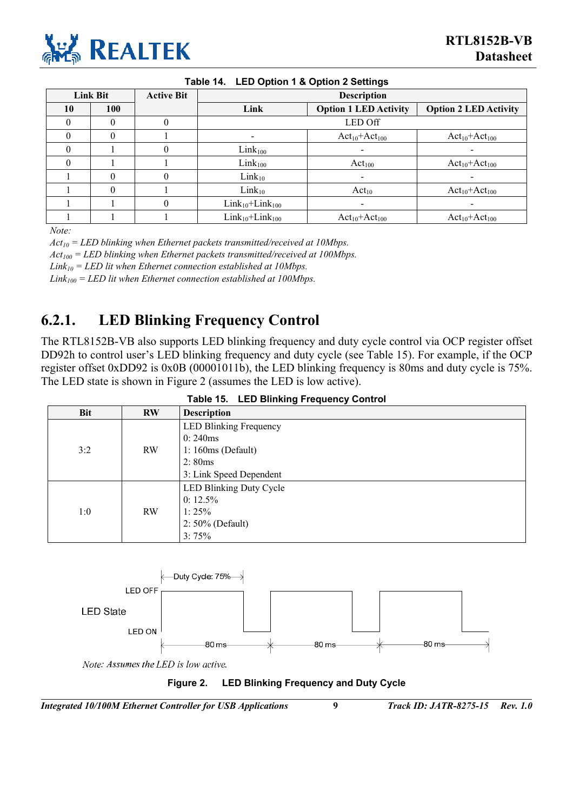

<span id="page-13-1"></span>

| Table 14. LED Option 1 & Option 2 Settings |                 |                   |                        |                              |                              |
|--------------------------------------------|-----------------|-------------------|------------------------|------------------------------|------------------------------|
|                                            | <b>Link Bit</b> | <b>Active Bit</b> |                        | <b>Description</b>           |                              |
| 10                                         | 100             |                   | Link                   | <b>Option 1 LED Activity</b> | <b>Option 2 LED Activity</b> |
|                                            |                 | U                 |                        | <b>LED Off</b>               |                              |
|                                            | 0               |                   |                        | $Act_{10}+Act_{100}$         | $Act_{10}+Act_{100}$         |
|                                            |                 | 0                 | $Link_{100}$           |                              |                              |
| 0                                          |                 |                   | $Link_{100}$           | Act <sub>100</sub>           | $Act_{10}+Act_{100}$         |
|                                            | 0               | 0                 | $Link_{10}$            |                              |                              |
|                                            | 0               |                   | $Link_{10}$            | $Act_{10}$                   | $Act_{10}+Act_{100}$         |
|                                            |                 | 0                 | $Link_{10}+Link_{100}$ |                              |                              |
|                                            |                 |                   | $Link_{10}+Link_{100}$ | $Act_{10}+Act_{100}$         | $Act_{10}+Act_{100}$         |

*Note:* 

*Act10 = LED blinking when Ethernet packets transmitted/received at 10Mbps.* 

*Act100 = LED blinking when Ethernet packets transmitted/received at 100Mbps.* 

 $Link_{10} = LED$  lit when Ethernet connection established at 10Mbps.

*Link100 = LED lit when Ethernet connection established at 100Mbps.* 

#### <span id="page-13-0"></span>**6.2.1. LED Blinking Frequency Control**

The RTL8152B-VB also supports LED blinking frequency and duty cycle control via OCP register offset DD92h to control user's LED blinking frequency and duty cycle (see [Table 15\)](#page-13-2). For example, if the OCP register offset 0xDD92 is 0x0B (00001011b), the LED blinking frequency is 80ms and duty cycle is 75%. The LED state is shown in [Figure 2](#page-13-3) (assumes the LED is low active).

|     |           | Table 15. LED Blinking Frequency Control |
|-----|-----------|------------------------------------------|
| Bit | <b>RW</b> | <b>Description</b>                       |
|     |           | <b>LED Blinking Frequency</b>            |
|     |           | 0:240ms                                  |
| 3:2 | <b>RW</b> | $1:160ms$ (Default)                      |
|     |           | 2:80ms                                   |
|     |           | 3: Link Speed Dependent                  |
|     |           | <b>LED Blinking Duty Cycle</b>           |
|     |           | $0: 12.5\%$                              |
| 1:0 | <b>RW</b> | 1:25%                                    |
|     |           | $2:50\%$ (Default)                       |
|     |           | 3:75%                                    |

<span id="page-13-2"></span>**Table 15. LED Blinking Frequency Control** 

<span id="page-13-3"></span>

Note: Assumes the LED is low active.



*Integrated 10/100M Ethernet Controller for USB Applications* **9** *Track ID: JATR-8275-15 Rev. 1.0*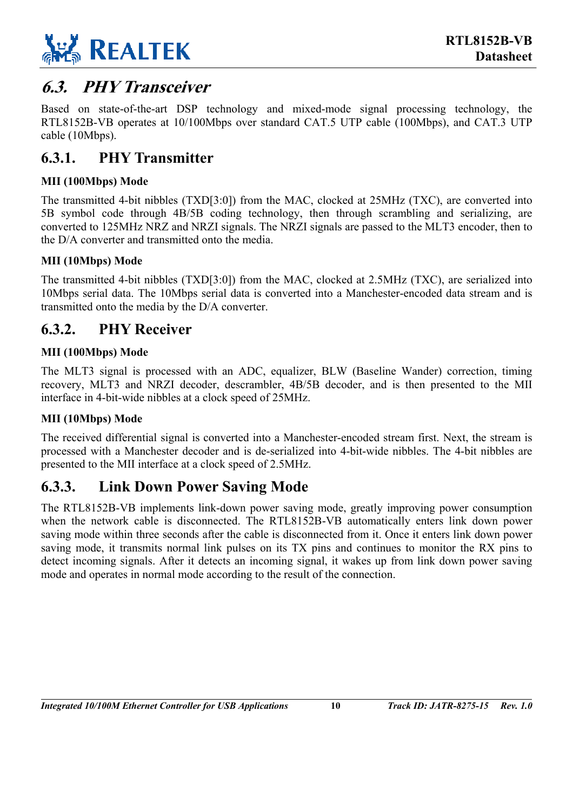

### <span id="page-14-0"></span>**6.3. PHY Transceiver**

Based on state-of-the-art DSP technology and mixed-mode signal processing technology, the RTL8152B-VB operates at 10/100Mbps over standard CAT.5 UTP cable (100Mbps), and CAT.3 UTP cable (10Mbps).

#### <span id="page-14-1"></span>**6.3.1. PHY Transmitter**

#### **MII (100Mbps) Mode**

The transmitted 4-bit nibbles (TXD[3:0]) from the MAC, clocked at 25MHz (TXC), are converted into 5B symbol code through 4B/5B coding technology, then through scrambling and serializing, are converted to 125MHz NRZ and NRZI signals. The NRZI signals are passed to the MLT3 encoder, then to the D/A converter and transmitted onto the media.

#### **MII (10Mbps) Mode**

The transmitted 4-bit nibbles (TXD[3:0]) from the MAC, clocked at 2.5MHz (TXC), are serialized into 10Mbps serial data. The 10Mbps serial data is converted into a Manchester-encoded data stream and is transmitted onto the media by the D/A converter.

#### <span id="page-14-2"></span>**6.3.2. PHY Receiver**

#### **MII (100Mbps) Mode**

The MLT3 signal is processed with an ADC, equalizer, BLW (Baseline Wander) correction, timing recovery, MLT3 and NRZI decoder, descrambler, 4B/5B decoder, and is then presented to the MII interface in 4-bit-wide nibbles at a clock speed of 25MHz.

#### **MII (10Mbps) Mode**

The received differential signal is converted into a Manchester-encoded stream first. Next, the stream is processed with a Manchester decoder and is de-serialized into 4-bit-wide nibbles. The 4-bit nibbles are presented to the MII interface at a clock speed of 2.5MHz.

#### <span id="page-14-3"></span>**6.3.3. Link Down Power Saving Mode**

The RTL8152B-VB implements link-down power saving mode, greatly improving power consumption when the network cable is disconnected. The RTL8152B-VB automatically enters link down power saving mode within three seconds after the cable is disconnected from it. Once it enters link down power saving mode, it transmits normal link pulses on its TX pins and continues to monitor the RX pins to detect incoming signals. After it detects an incoming signal, it wakes up from link down power saving mode and operates in normal mode according to the result of the connection.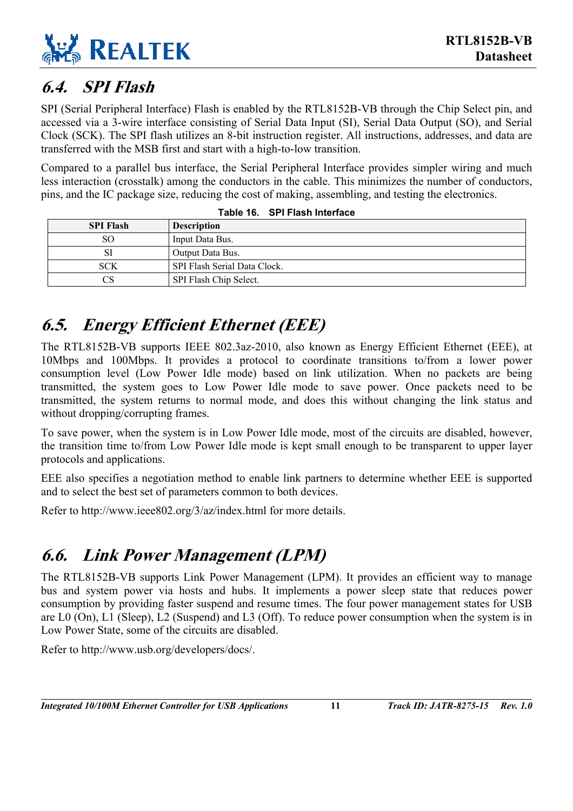## <span id="page-15-0"></span>**6.4. SPI Flash**

SPI (Serial Peripheral Interface) Flash is enabled by the RTL8152B-VB through the Chip Select pin, and accessed via a 3-wire interface consisting of Serial Data Input (SI), Serial Data Output (SO), and Serial Clock (SCK). The SPI flash utilizes an 8-bit instruction register. All instructions, addresses, and data are transferred with the MSB first and start with a high-to-low transition.

Compared to a parallel bus interface, the Serial Peripheral Interface provides simpler wiring and much less interaction (crosstalk) among the conductors in the cable. This minimizes the number of conductors, pins, and the IC package size, reducing the cost of making, assembling, and testing the electronics.

| <b>SPI Flash</b> | <b>Description</b>           |
|------------------|------------------------------|
| SO.              | Input Data Bus.              |
|                  | Output Data Bus.             |
| <b>SCK</b>       | SPI Flash Serial Data Clock. |
| CS               | SPI Flash Chip Select.       |

<span id="page-15-3"></span>

|  | Table 16. SPI Flash Interface |  |
|--|-------------------------------|--|
|--|-------------------------------|--|

## <span id="page-15-1"></span>**6.5. Energy Efficient Ethernet (EEE)**

The RTL8152B-VB supports IEEE 802.3az-2010, also known as Energy Efficient Ethernet (EEE), at 10Mbps and 100Mbps. It provides a protocol to coordinate transitions to/from a lower power consumption level (Low Power Idle mode) based on link utilization. When no packets are being transmitted, the system goes to Low Power Idle mode to save power. Once packets need to be transmitted, the system returns to normal mode, and does this without changing the link status and without dropping/corrupting frames.

To save power, when the system is in Low Power Idle mode, most of the circuits are disabled, however, the transition time to/from Low Power Idle mode is kept small enough to be transparent to upper layer protocols and applications.

EEE also specifies a negotiation method to enable link partners to determine whether EEE is supported and to select the best set of parameters common to both devices.

Refer to http://www.ieee802.org/3/az/index.html for more details.

## <span id="page-15-2"></span>**6.6. Link Power Management (LPM)**

The RTL8152B-VB supports Link Power Management (LPM). It provides an efficient way to manage bus and system power via hosts and hubs. It implements a power sleep state that reduces power consumption by providing faster suspend and resume times. The four power management states for USB are L0 (On), L1 (Sleep), L2 (Suspend) and L3 (Off). To reduce power consumption when the system is in Low Power State, some of the circuits are disabled.

Refer to http://www.usb.org/developers/docs/.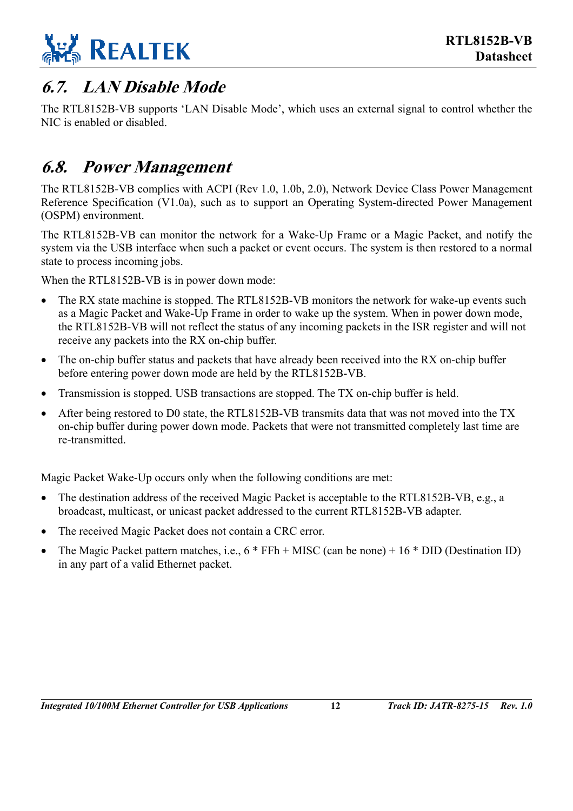

### <span id="page-16-0"></span>**6.7. LAN Disable Mode**

The RTL8152B-VB supports 'LAN Disable Mode', which uses an external signal to control whether the NIC is enabled or disabled.

### <span id="page-16-1"></span>**6.8. Power Management**

The RTL8152B-VB complies with ACPI (Rev 1.0, 1.0b, 2.0), Network Device Class Power Management Reference Specification (V1.0a), such as to support an Operating System-directed Power Management (OSPM) environment.

The RTL8152B-VB can monitor the network for a Wake-Up Frame or a Magic Packet, and notify the system via the USB interface when such a packet or event occurs. The system is then restored to a normal state to process incoming jobs.

When the RTL8152B-VB is in power down mode:

- The RX state machine is stopped. The RTL8152B-VB monitors the network for wake-up events such as a Magic Packet and Wake-Up Frame in order to wake up the system. When in power down mode, the RTL8152B-VB will not reflect the status of any incoming packets in the ISR register and will not receive any packets into the RX on-chip buffer.
- The on-chip buffer status and packets that have already been received into the RX on-chip buffer before entering power down mode are held by the RTL8152B-VB.
- Transmission is stopped. USB transactions are stopped. The TX on-chip buffer is held.
- After being restored to D0 state, the RTL8152B-VB transmits data that was not moved into the TX on-chip buffer during power down mode. Packets that were not transmitted completely last time are re-transmitted.

Magic Packet Wake-Up occurs only when the following conditions are met:

- The destination address of the received Magic Packet is acceptable to the RTL8152B-VB, e.g., a broadcast, multicast, or unicast packet addressed to the current RTL8152B-VB adapter.
- The received Magic Packet does not contain a CRC error.
- The Magic Packet pattern matches, i.e.,  $6 * FFh + MISC$  (can be none) + 16  $*$  DID (Destination ID) in any part of a valid Ethernet packet.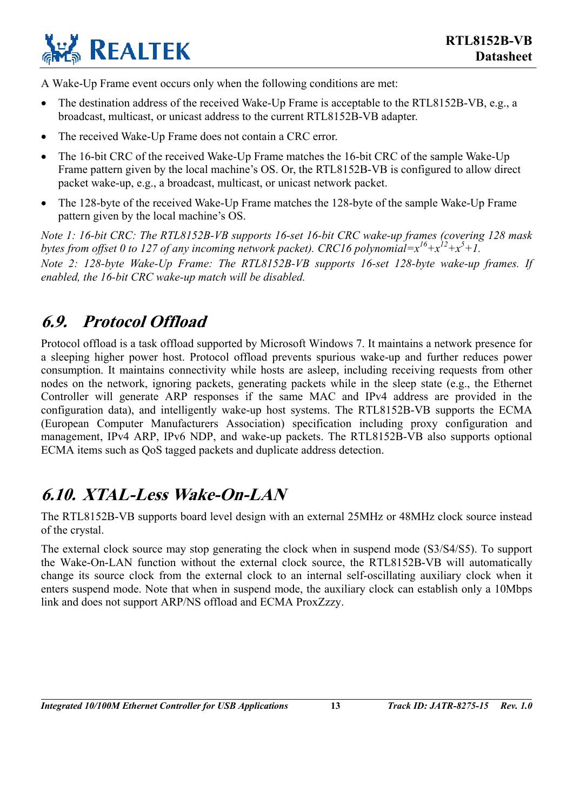

A Wake-Up Frame event occurs only when the following conditions are met:

- The destination address of the received Wake-Up Frame is acceptable to the RTL8152B-VB, e.g., a broadcast, multicast, or unicast address to the current RTL8152B-VB adapter.
- The received Wake-Up Frame does not contain a CRC error.
- The 16-bit CRC of the received Wake-Up Frame matches the 16-bit CRC of the sample Wake-Up Frame pattern given by the local machine's OS. Or, the RTL8152B-VB is configured to allow direct packet wake-up, e.g., a broadcast, multicast, or unicast network packet.
- The 128-byte of the received Wake-Up Frame matches the 128-byte of the sample Wake-Up Frame pattern given by the local machine's OS.

*Note 1: 16-bit CRC: The RTL8152B-VB supports 16-set 16-bit CRC wake-up frames (covering 128 mask bytes from offset 0 to 127 of any incoming network packet). CRC16 polynomial* $=x^{16}+x^{12}+x^5+1$ . *Note 2: 128-byte Wake-Up Frame: The RTL8152B-VB supports 16-set 128-byte wake-up frames. If enabled, the 16-bit CRC wake-up match will be disabled.* 

### <span id="page-17-0"></span>**6.9. Protocol Offload**

Protocol offload is a task offload supported by Microsoft Windows 7. It maintains a network presence for a sleeping higher power host. Protocol offload prevents spurious wake-up and further reduces power consumption. It maintains connectivity while hosts are asleep, including receiving requests from other nodes on the network, ignoring packets, generating packets while in the sleep state (e.g., the Ethernet Controller will generate ARP responses if the same MAC and IPv4 address are provided in the configuration data), and intelligently wake-up host systems. The RTL8152B-VB supports the ECMA (European Computer Manufacturers Association) specification including proxy configuration and management, IPv4 ARP, IPv6 NDP, and wake-up packets. The RTL8152B-VB also supports optional ECMA items such as QoS tagged packets and duplicate address detection.

### <span id="page-17-1"></span>**6.10. XTAL-Less Wake-On-LAN**

The RTL8152B-VB supports board level design with an external 25MHz or 48MHz clock source instead of the crystal.

The external clock source may stop generating the clock when in suspend mode (S3/S4/S5). To support the Wake-On-LAN function without the external clock source, the RTL8152B-VB will automatically change its source clock from the external clock to an internal self-oscillating auxiliary clock when it enters suspend mode. Note that when in suspend mode, the auxiliary clock can establish only a 10Mbps link and does not support ARP/NS offload and ECMA ProxZzzy.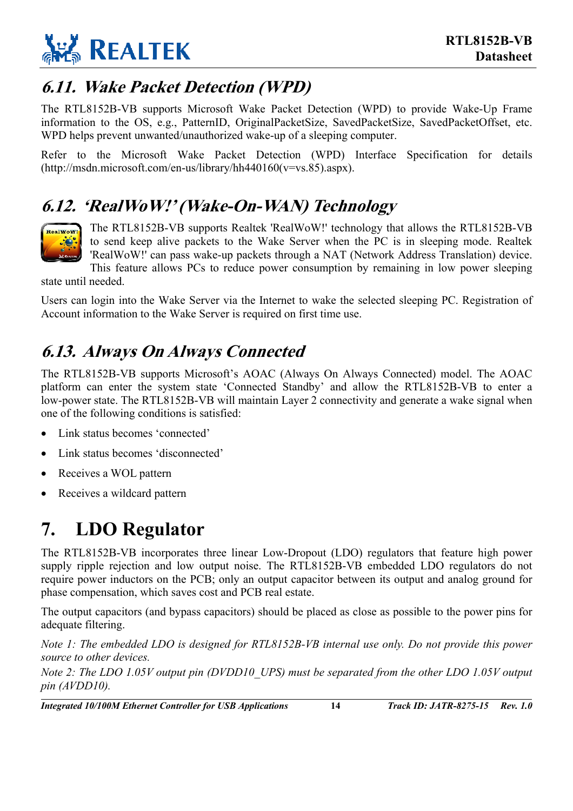

### <span id="page-18-0"></span>**6.11. Wake Packet Detection (WPD)**

The RTL8152B-VB supports Microsoft Wake Packet Detection (WPD) to provide Wake-Up Frame information to the OS, e.g., PatternID, OriginalPacketSize, SavedPacketSize, SavedPacketOffset, etc. WPD helps prevent unwanted/unauthorized wake-up of a sleeping computer.

Refer to the Microsoft Wake Packet Detection (WPD) Interface Specification for details (http://msdn.microsoft.com/en-us/library/hh440160(v=vs.85).aspx).

### **6.12. 'RealWoW!' (Wake-On-WAN) Technology**



<span id="page-18-1"></span>The RTL8152B-VB supports Realtek 'RealWoW!' technology that allows the RTL8152B-VB to send keep alive packets to the Wake Server when the PC is in sleeping mode. Realtek 'RealWoW!' can pass wake-up packets through a NAT (Network Address Translation) device.

This feature allows PCs to reduce power consumption by remaining in low power sleeping

state until needed.

Users can login into the Wake Server via the Internet to wake the selected sleeping PC. Registration of Account information to the Wake Server is required on first time use.

## <span id="page-18-2"></span>**6.13. Always On Always Connected**

The RTL8152B-VB supports Microsoft's AOAC (Always On Always Connected) model. The AOAC platform can enter the system state 'Connected Standby' and allow the RTL8152B-VB to enter a low-power state. The RTL8152B-VB will maintain Layer 2 connectivity and generate a wake signal when one of the following conditions is satisfied:

- Link status becomes 'connected'
- Link status becomes 'disconnected'
- Receives a WOL pattern
- Receives a wildcard pattern

## <span id="page-18-3"></span>**7. LDO Regulator**

The RTL8152B-VB incorporates three linear Low-Dropout (LDO) regulators that feature high power supply ripple rejection and low output noise. The RTL8152B-VB embedded LDO regulators do not require power inductors on the PCB; only an output capacitor between its output and analog ground for phase compensation, which saves cost and PCB real estate.

The output capacitors (and bypass capacitors) should be placed as close as possible to the power pins for adequate filtering.

*Note 1: The embedded LDO is designed for RTL8152B-VB internal use only. Do not provide this power source to other devices.* 

*Note 2: The LDO 1.05V output pin (DVDD10\_UPS) must be separated from the other LDO 1.05V output pin (AVDD10).* 

*Integrated 10/100M Ethernet Controller for USB Applications* **14** *Track ID: JATR-8275-15 Rev. 1.0*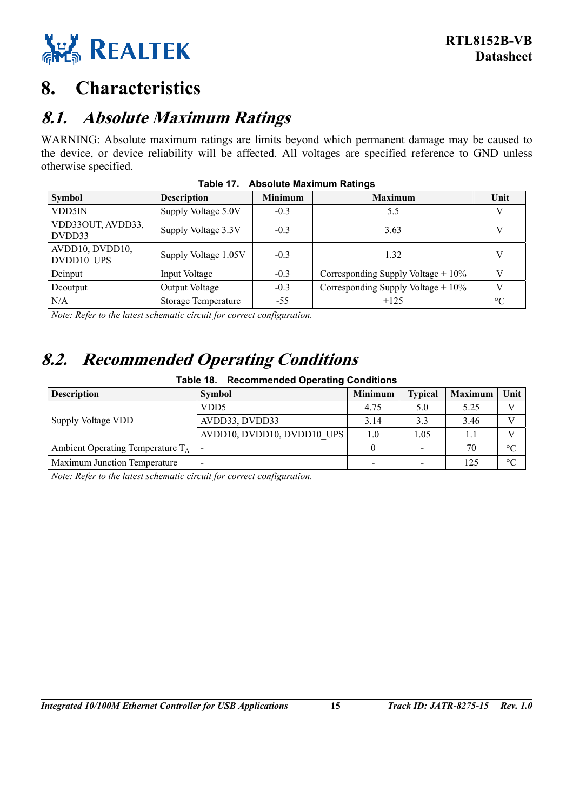

## <span id="page-19-0"></span>**8. Characteristics**

### <span id="page-19-1"></span>**8.1. Absolute Maximum Ratings**

WARNING: Absolute maximum ratings are limits beyond which permanent damage may be caused to the device, or device reliability will be affected. All voltages are specified reference to GND unless otherwise specified.

| <b>Symbol</b>                 | <b>Description</b>         | <b>Minimum</b> | <b>Maximum</b>                       | Unit            |
|-------------------------------|----------------------------|----------------|--------------------------------------|-----------------|
| VDD5IN                        | Supply Voltage 5.0V        | $-0.3$         | 5.5                                  |                 |
| VDD33OUT, AVDD33,<br>DVDD33   | Supply Voltage 3.3V        | $-0.3$         | 3.63                                 |                 |
| AVDD10, DVDD10,<br>DVDD10 UPS | Supply Voltage 1.05V       | $-0.3$         | 1.32                                 | V               |
| Dcinput                       | Input Voltage              | $-0.3$         | Corresponding Supply Voltage + 10%   |                 |
| Deoutput                      | Output Voltage             | $-0.3$         | Corresponding Supply Voltage $+10\%$ |                 |
| N/A                           | <b>Storage Temperature</b> | $-55$          | $+125$                               | $\rm ^{\circ}C$ |

<span id="page-19-3"></span>

| Table 17. Absolute Maximum Ratings |  |  |
|------------------------------------|--|--|
|                                    |  |  |

*Note: Refer to the latest schematic circuit for correct configuration.* 

### **8.2. Recommended Operating Conditions**

<span id="page-19-4"></span><span id="page-19-2"></span>

| <b>Table 18. Recommended Operating Conditions</b> |                            |                |                |                |                 |  |  |
|---------------------------------------------------|----------------------------|----------------|----------------|----------------|-----------------|--|--|
| <b>Description</b>                                | <b>Symbol</b>              | <b>Minimum</b> | <b>Typical</b> | <b>Maximum</b> | Unit            |  |  |
|                                                   | VDD <sub>5</sub>           | 4.75           | 5.0            | 5.25           | V               |  |  |
| Supply Voltage VDD                                | AVDD33, DVDD33             | 3.14           | 3.3            | 3.46           | V               |  |  |
|                                                   | AVDD10, DVDD10, DVDD10 UPS | 1.0            | 1.05           | 1.1            | $\mathbf{V}$    |  |  |
| Ambient Operating Temperature $T_A$               |                            | $\theta$       |                | 70             | $\rm ^{\circ}C$ |  |  |
| Maximum Junction Temperature                      |                            | $\,$           |                | 125            | $\rm ^{\circ}C$ |  |  |

*Note: Refer to the latest schematic circuit for correct configuration.*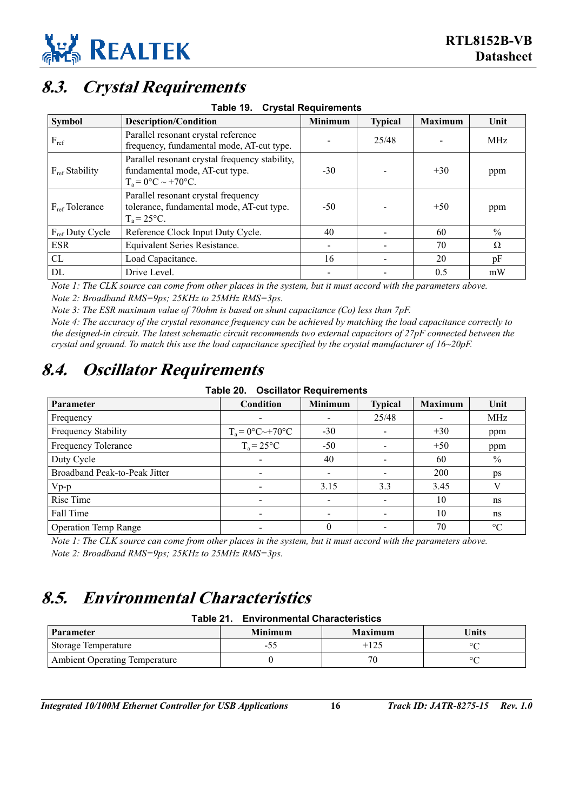### <span id="page-20-0"></span>**8.3. Crystal Requirements**

<span id="page-20-3"></span>

| Table 19. | <b>Crystal Requirements</b> |
|-----------|-----------------------------|
|           |                             |

| <b>Symbol</b>        | <b>Description/Condition</b>                                                                              | Minimum | <b>Typical</b> | <b>Maximum</b> | Unit          |
|----------------------|-----------------------------------------------------------------------------------------------------------|---------|----------------|----------------|---------------|
| $F_{ref}$            | Parallel resonant crystal reference<br>frequency, fundamental mode, AT-cut type.                          |         | 25/48          |                | <b>MHz</b>    |
| $F_{ref}$ Stability  | Parallel resonant crystal frequency stability,<br>fundamental mode, AT-cut type.<br>$T_a = 0$ °C ~ +70°C. | $-30$   |                | $+30$          | ppm           |
| $F_{ref}$ Tolerance  | Parallel resonant crystal frequency<br>tolerance, fundamental mode, AT-cut type.<br>$T_a = 25^{\circ}C$ . | $-50$   |                | $+50$          | ppm           |
| $F_{ref}$ Duty Cycle | Reference Clock Input Duty Cycle.                                                                         | 40      |                | 60             | $\frac{0}{0}$ |
| <b>ESR</b>           | Equivalent Series Resistance.                                                                             |         |                | 70             | Ω             |
| CL                   | Load Capacitance.                                                                                         | 16      |                | 20             | pF            |
| DL                   | Drive Level.                                                                                              |         |                | 0.5            | mW            |

*Note 1: The CLK source can come from other places in the system, but it must accord with the parameters above. Note 2: Broadband RMS=9ps; 25KHz to 25MHz RMS=3ps.* 

*Note 3: The ESR maximum value of 70ohm is based on shunt capacitance (Co) less than 7pF.* 

*Note 4: The accuracy of the crystal resonance frequency can be achieved by matching the load capacitance correctly to the designed-in circuit. The latest schematic circuit recommends two external capacitors of 27pF connected between the crystal and ground. To match this use the load capacitance specified by the crystal manufacturer of 16~20pF.* 

### <span id="page-20-1"></span>**8.4. Oscillator Requirements**

<span id="page-20-4"></span>**Table 20. Oscillator Requirements** 

| <b>Parameter</b>              | Condition                | <b>Minimum</b> | <b>Typical</b> | <b>Maximum</b> | Unit            |
|-------------------------------|--------------------------|----------------|----------------|----------------|-----------------|
| Frequency                     |                          |                | 25/48          |                | MHz             |
| Frequency Stability           | $T_a = 0$ °C~+70°C       | $-30$          |                | $+30$          | ppm             |
| Frequency Tolerance           | $T_a = 25^{\circ}C$      | $-50$          |                | $+50$          | ppm             |
| Duty Cycle                    |                          | 40             |                | 60             | $\%$            |
| Broadband Peak-to-Peak Jitter | $\overline{\phantom{a}}$ |                |                | <b>200</b>     | ps              |
| $Vp-p$                        |                          | 3.15           | 3.3            | 3.45           | V               |
| Rise Time                     |                          |                |                | 10             | ns              |
| Fall Time                     |                          |                |                | 10             | ns              |
| <b>Operation Temp Range</b>   |                          | $\theta$       |                | 70             | $\rm ^{\circ}C$ |

*Note 1: The CLK source can come from other places in the system, but it must accord with the parameters above. Note 2: Broadband RMS=9ps; 25KHz to 25MHz RMS=3ps.* 

### <span id="page-20-2"></span>**8.5. Environmental Characteristics**

#### <span id="page-20-5"></span>**Table 21. Environmental Characteristics**

| <b>Parameter</b>                     | <b>Minimum</b> | <b>Maximum</b> | <b>Units</b> |
|--------------------------------------|----------------|----------------|--------------|
| Storage Temperature                  | $-J_{\sim}$    | $+125$         | $\circ$      |
| <b>Ambient Operating Temperature</b> |                | 70             | $\circ$      |

*Integrated 10/100M Ethernet Controller for USB Applications* **16** *Track ID: JATR-8275-15 Rev. 1.0*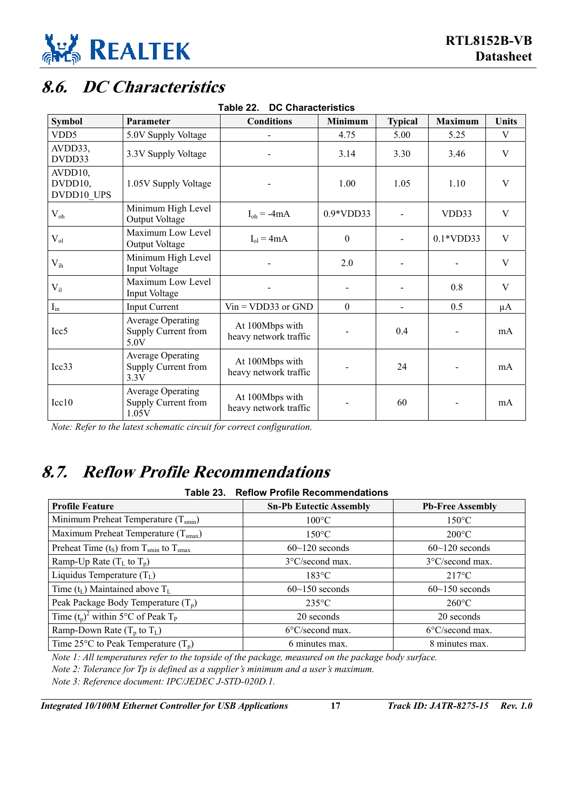

## <span id="page-21-0"></span>**8.6. DC Characteristics**

| <b>Symbol</b>                    | Parameter                                                | <b>Conditions</b>                        | <b>Minimum</b> | <b>Typical</b> | <b>Maximum</b> | Units   |
|----------------------------------|----------------------------------------------------------|------------------------------------------|----------------|----------------|----------------|---------|
| VDD <sub>5</sub>                 | 5.0V Supply Voltage                                      |                                          | 4.75           | 5.00           | 5.25           | V       |
| AVDD33,<br>DVDD33                | 3.3V Supply Voltage                                      |                                          | 3.14           | 3.30           | 3.46           | V       |
| AVDD10,<br>DVDD10,<br>DVDD10 UPS | 1.05V Supply Voltage                                     |                                          | 1.00           | 1.05           | 1.10           | V       |
| $V_{oh}$                         | Minimum High Level<br>Output Voltage                     | $I_{oh} = -4mA$                          | $0.9*VDD33$    |                | VDD33          | V       |
| $V_{ol}$                         | Maximum Low Level<br>Output Voltage                      | $I_{ol} = 4mA$                           | $\theta$       |                | $0.1*VDD33$    | V       |
| $V_{ih}$                         | Minimum High Level<br>Input Voltage                      |                                          | 2.0            |                |                | V       |
| $V_{il}$                         | Maximum Low Level<br>Input Voltage                       |                                          |                |                | 0.8            | V       |
| $I_{in}$                         | <b>Input Current</b>                                     | $Vin = VDD33$ or $GND$                   | $\theta$       | $\blacksquare$ | 0.5            | $\mu A$ |
| Icc <sub>5</sub>                 | <b>Average Operating</b><br>Supply Current from<br>5.0V  | At 100Mbps with<br>heavy network traffic |                | 0.4            | -              | mA      |
| Icc33                            | <b>Average Operating</b><br>Supply Current from<br>3.3V  | At 100Mbps with<br>heavy network traffic |                | 24             |                | mA      |
| Icc10                            | <b>Average Operating</b><br>Supply Current from<br>1.05V | At 100Mbps with<br>heavy network traffic |                | 60             |                | mA      |

<span id="page-21-2"></span>**Table 22. DC Characteristics** 

*Note: Refer to the latest schematic circuit for correct configuration.* 

### <span id="page-21-1"></span>**8.7. Reflow Profile Recommendations**

#### <span id="page-21-3"></span>**Table 23. Reflow Profile Recommendations**

| <b>Profile Feature</b>                                           | <b>Sn-Pb Eutectic Assembly</b> | <b>Pb-Free Assembly</b>   |
|------------------------------------------------------------------|--------------------------------|---------------------------|
| Minimum Preheat Temperature $(T_{smin})$                         | $100^{\circ}$ C                | $150^{\circ}$ C           |
| Maximum Preheat Temperature $(Tsmax)$                            | $150^{\circ}$ C                | $200^{\circ}$ C           |
| Preheat Time $(t_S)$ from T <sub>smin</sub> to T <sub>smax</sub> | $60 \sim 120$ seconds          | $60~120$ seconds          |
| Ramp-Up Rate $(T_L$ to $T_p)$                                    | 3°C/second max.                | $3^{\circ}$ C/second max. |
| Liquidus Temperature $(T_L)$                                     | $183^{\circ}$ C                | $217^{\circ}$ C           |
| Time $(t_L)$ Maintained above $T_L$                              | $60-150$ seconds               | $60$ ~150 seconds         |
| Peak Package Body Temperature $(T_p)$                            | $235^{\circ}$ C                | $260^{\circ}$ C           |
| Time $(t_p)^2$ within 5°C of Peak T <sub>P</sub>                 | 20 seconds                     | 20 seconds                |
| Ramp-Down Rate $(T_p$ to $T_L$ )                                 | $6^{\circ}$ C/second max.      | $6^{\circ}$ C/second max. |
| Time 25 $\rm{^{\circ}C}$ to Peak Temperature (T <sub>n</sub> )   | 6 minutes max.                 | 8 minutes max.            |

*Note 1: All temperatures refer to the topside of the package, measured on the package body surface.* 

*Note 2: Tolerance for Tp is defined as a supplier's minimum and a user's maximum.* 

*Note 3: Reference document: IPC/JEDEC J-STD-020D.1.* 

*Integrated 10/100M Ethernet Controller for USB Applications* **17** *Track ID: JATR-8275-15 Rev. 1.0*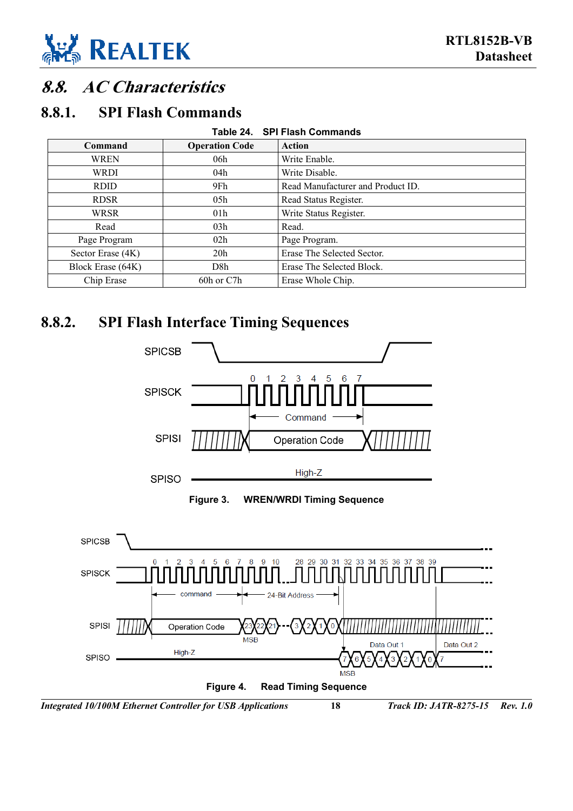

### <span id="page-22-0"></span>**8.8. AC Characteristics**

#### **8.8.1. SPI Flash Commands**

<span id="page-22-3"></span><span id="page-22-1"></span>

| Table 24. SPI Flash Commands |                       |                                   |  |  |  |  |
|------------------------------|-----------------------|-----------------------------------|--|--|--|--|
| Command                      | <b>Operation Code</b> | Action                            |  |  |  |  |
| WREN                         | 06h                   | Write Enable.                     |  |  |  |  |
| <b>WRDI</b>                  | 04h                   | Write Disable.                    |  |  |  |  |
| <b>RDID</b>                  | 9Fh                   | Read Manufacturer and Product ID. |  |  |  |  |
| <b>RDSR</b>                  | 05h                   | Read Status Register.             |  |  |  |  |
| WRSR                         | 01 <sub>h</sub>       | Write Status Register.            |  |  |  |  |
| Read                         | 03h                   | Read.                             |  |  |  |  |
| Page Program                 | 02h                   | Page Program.                     |  |  |  |  |
| Sector Erase (4K)            | 20 <sub>h</sub>       | Erase The Selected Sector.        |  |  |  |  |
| Block Erase (64K)            | D8h                   | Erase The Selected Block.         |  |  |  |  |
| Chip Erase                   | 60h or C7h            | Erase Whole Chip.                 |  |  |  |  |

#### **8.8.2. SPI Flash Interface Timing Sequences**

<span id="page-22-4"></span><span id="page-22-2"></span>

<span id="page-22-5"></span>

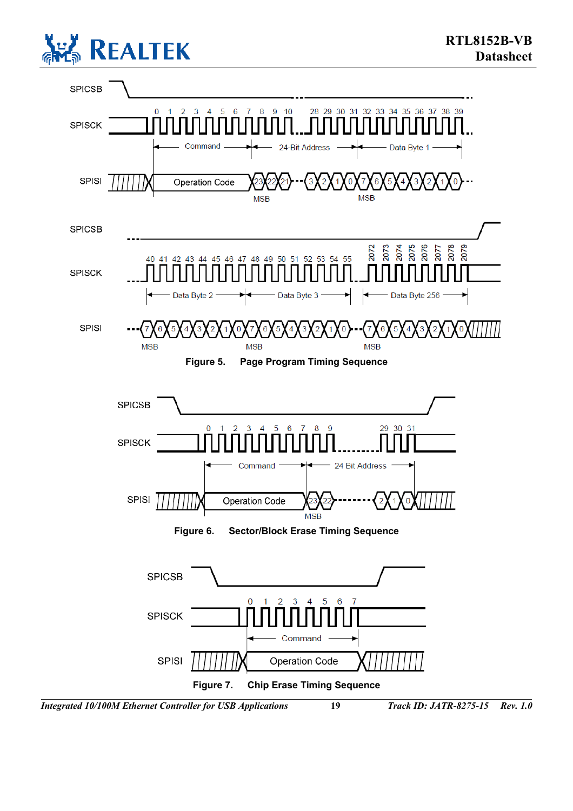

<span id="page-23-2"></span><span id="page-23-1"></span><span id="page-23-0"></span>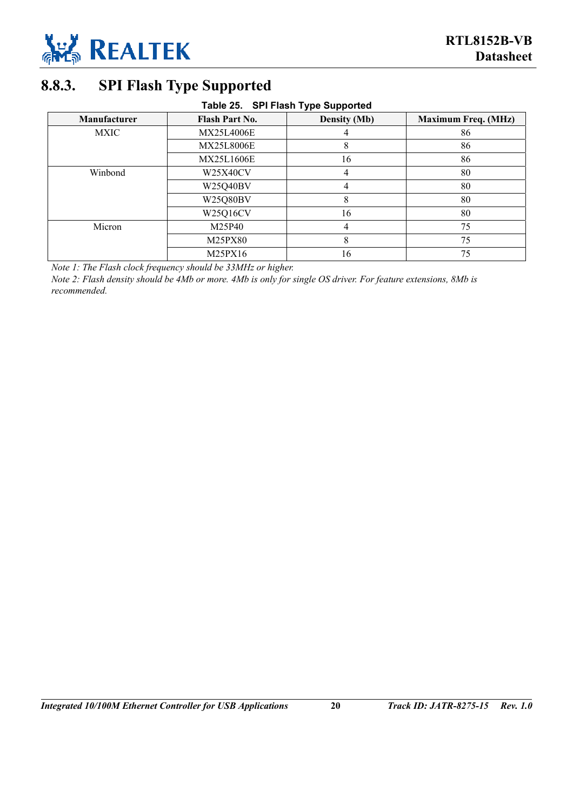

### <span id="page-24-0"></span>**8.8.3. SPI Flash Type Supported**

#### <span id="page-24-1"></span>**Table 25. SPI Flash Type Supported**

| <b>Manufacturer</b> | <b>Flash Part No.</b> | <b>Density (Mb)</b> | <b>Maximum Freq. (MHz)</b> |  |  |
|---------------------|-----------------------|---------------------|----------------------------|--|--|
| <b>MXIC</b>         | <b>MX25L4006E</b>     |                     | 86                         |  |  |
|                     | <b>MX25L8006E</b>     | 8                   | 86                         |  |  |
|                     | MX25L1606E            | 16                  | 86                         |  |  |
| Winbond             | W25X40CV              | 4                   | 80                         |  |  |
|                     | W25Q40BV              | 4                   | 80                         |  |  |
|                     | W25Q80BV              | 8                   | 80                         |  |  |
|                     | W25Q16CV              | 16                  | 80                         |  |  |
| Micron              | M25P40                | 4                   | 75                         |  |  |
|                     | M25PX80               | 8                   | 75                         |  |  |
|                     | M25PX16               | 16                  | 75                         |  |  |

*Note 1: The Flash clock frequency should be 33MHz or higher.* 

*Note 2: Flash density should be 4Mb or more. 4Mb is only for single OS driver. For feature extensions, 8Mb is recommended.*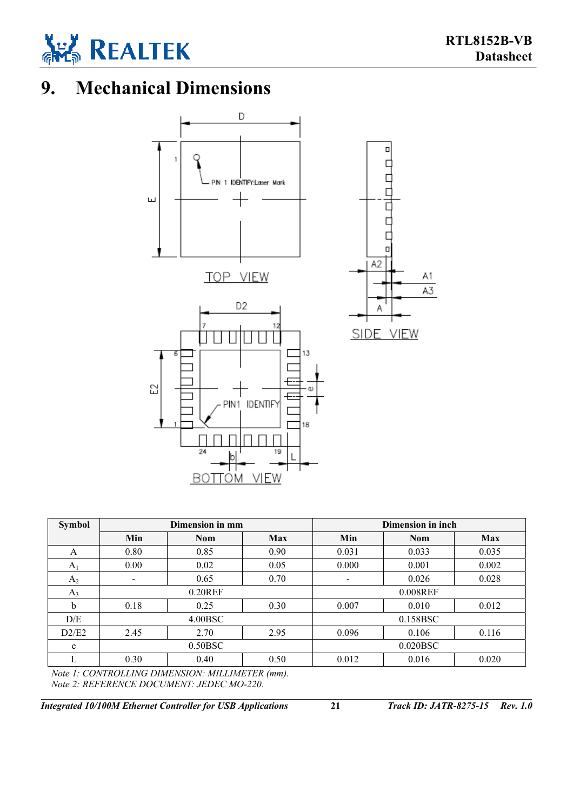

## <span id="page-25-0"></span>**9. Mechanical Dimensions**



| Dimension in mm          |            |            |       |            |                   |
|--------------------------|------------|------------|-------|------------|-------------------|
| Min                      | <b>Nom</b> | <b>Max</b> | Min   | <b>Nom</b> | <b>Max</b>        |
| 0.80                     | 0.85       | 0.90       | 0.031 | 0.033      | 0.035             |
| 0.00                     | 0.02       | 0.05       | 0.000 | 0.001      | 0.002             |
| $\overline{\phantom{a}}$ | 0.65       | 0.70       |       | 0.026      | 0.028             |
|                          | $0.20$ REF |            |       | 0.008REF   |                   |
| 0.18                     | 0.25       | 0.30       | 0.007 | 0.010      | 0.012             |
| 4.00BSC                  |            |            |       | 0.158BSC   |                   |
| 2.45                     | 2.70       | 2.95       | 0.096 | 0.106      | 0.116             |
| 0.50BSC                  |            |            |       | 0.020BSC   |                   |
| 0.30                     | 0.40       | 0.50       | 0.012 | 0.016      | 0.020             |
|                          |            |            |       |            | Dimension in inch |

*Note 1: CONTROLLING DIMENSION: MILLIMETER (mm). Note 2: REFERENCE DOCUMENT: JEDEC MO-220.* 

*Integrated 10/100M Ethernet Controller for USB Applications* **21** *Track ID: JATR-8275-15 Rev. 1.0*